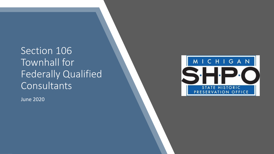### Section 106 Townhall for Federally Qualified Consultants

June 2020

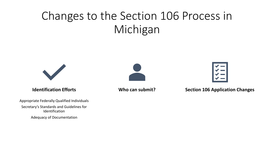### Changes to the Section 106 Process in Michigan



#### **Identification Efforts**

Appropriate Federally Qualified Individuals Secretary's Standards and Guidelines for Identification Adequacy of Documentation





**Who can submit? Section 106 Application Changes**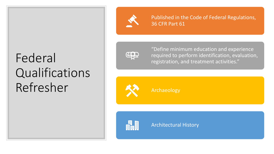## Federal Qualifications Refresher



Published in the Code of Federal Regulations, 36 CFR Part 61



"Define minimum education and experience required to perform identification, evaluation, registration, and treatment activities."



Archaeology



Architectural History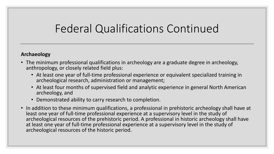### Federal Qualifications Continued

#### **Archaeology**

- The minimum professional qualifications in archeology are a graduate degree in archeology, anthropology, or closely related field plus:
	- At least one year of full-time professional experience or equivalent specialized training in archeological research, administration or management;
	- At least four months of supervised field and analytic experience in general North American archeology, and
	- Demonstrated ability to carry research to completion.
- In addition to these minimum qualifications, a professional in prehistoric archeology shall have at least one year of full-time professional experience at a supervisory level in the study of archeological resources of the prehistoric period. A professional in historic archeology shall have at least one year of full-time professional experience at a supervisory level in the study of archeological resources of the historic period.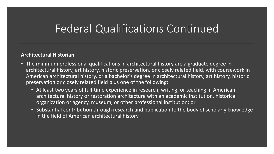### Federal Qualifications Continued

#### **Architectural Historian**

- The minimum professional qualifications in architectural history are a graduate degree in architectural history, art history, historic preservation, or closely related field, with coursework in American architectural history, or a bachelor's degree in architectural history, art history, historic preservation or closely related field plus one of the following:
	- At least two years of full-time experience in research, writing, or teaching in American architectural history or restoration architecture with an academic institution, historical organization or agency, museum, or other professional institution; or
	- Substantial contribution through research and publication to the body of scholarly knowledge in the field of American architectural history.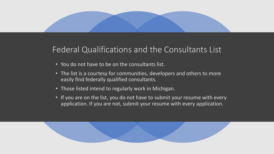#### Federal Qualifications and the Consultants List

- You do not have to be on the consultants list.
- The list is a courtesy for communities, developers and others to more easily find federally qualified consultants.
- Those listed intend to regularly work in Michigan.
- If you are on the list, you do not have to submit your resume with every application. If you are not, submit your resume with every application.

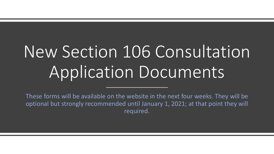## New Section 106 Consultation Application Documents

These forms will be available on the website in the next four weeks. They will be optional but strongly recommended until January 1, 2021; at that point they will required.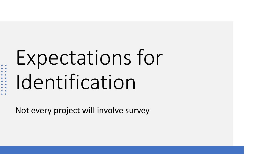# Expectations for Identification

Not every project will involve survey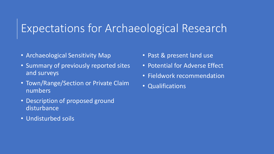### Expectations for Archaeological Research

- Archaeological Sensitivity Map
- Summary of previously reported sites and surveys
- Town/Range/Section or Private Claim numbers
- Description of proposed ground disturbance
- Undisturbed soils
- Past & present land use
- Potential for Adverse Effect
- Fieldwork recommendation
- Qualifications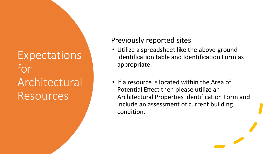### **Expectations** for Architectural Resources

#### Previously reported sites

- Utilize a spreadsheet like the above-ground identification table and Identification Form as appropriate.
- If a resource is located within the Area of Potential Effect then please utilize an Architectural Properties Identification Form and include an assessment of current building condition.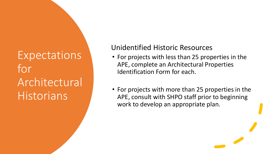### **Expectations** for Architectural **Historians**

#### Unidentified Historic Resources

- For projects with less than 25 properties in the APE, complete an Architectural Properties Identification Form for each.
- For projects with more than 25 properties in the APE, consult with SHPO staff prior to beginning work to develop an appropriate plan.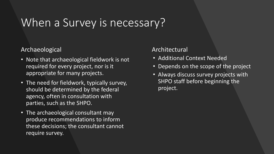### When a Survey is necessary?

#### Archaeological

- Note that archaeological fieldwork is not required for every project, nor is it appropriate for many projects.
- The need for fieldwork, typically survey, should be determined by the federal agency, often in consultation with parties, such as the SHPO.
- The archaeological consultant may produce recommendations to inform these decisions; the consultant cannot require survey.

#### Architectural

- Additional Context Needed
- Depends on the scope of the project
- Always discuss survey projects with SHPO staff before beginning the project.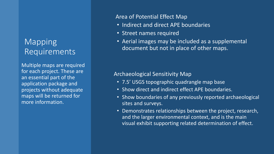#### Mapping Requirements

Multiple maps are required for each project. These are an essential part of the application package and projects without adequate maps will be returned for more information.

#### Area of Potential Effect Map

- Indirect and direct APE boundaries
- Street names required
- Aerial images may be included as a supplemental document but not in place of other maps.

#### Archaeological Sensitivity Map

- 7.5' USGS topographic quadrangle map base
- Show direct and indirect effect APE boundaries.
- Show boundaries of any previously reported archaeological sites and surveys.
- Demonstrates relationships between the project, research, and the larger environmental context, and is the main visual exhibit supporting related determination of effect.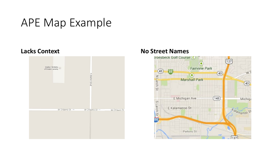### APE Map Example



#### **Lacks Context No Street Names**

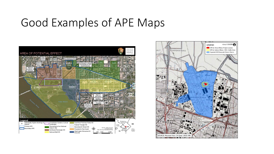### Good Examples of APE Maps



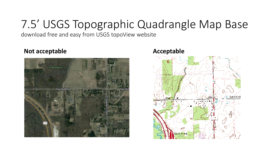### 7.5' USGS Topographic Quadrangle Map Base

download free and easy from USGS topoView website

#### **Not acceptable and acceptable Acceptable**



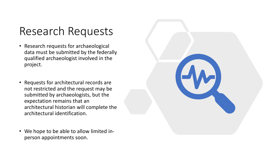### Research Requests

- Research requests for archaeological data must be submitted by the federally qualified archaeologist involved in the project.
- Requests for architectural records are not restricted and the request may be submitted by archaeologists, but the expectation remains that an architectural historian will complete the architectural identification.
- We hope to be able to allow limited inperson appointments soon.

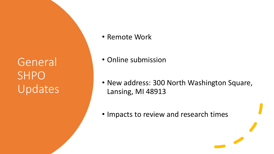General SHPO Updates • Remote Work

- Online submission
- New address: 300 North Washington Square, Lansing, MI 48913
- Impacts to review and research times